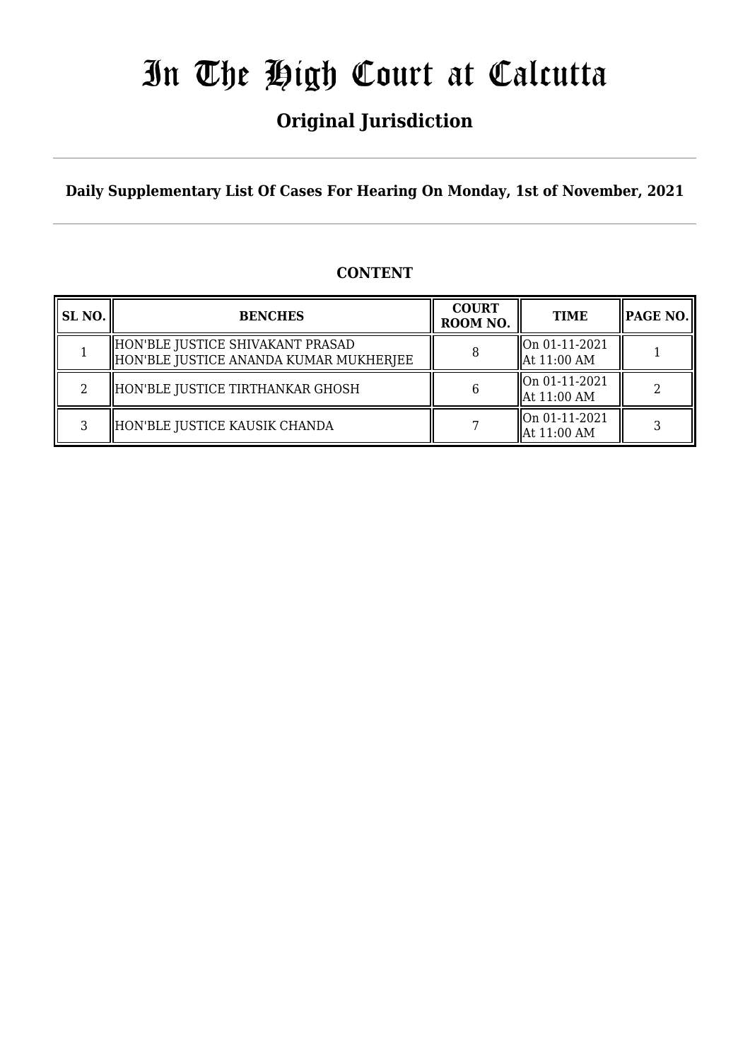## **Original Jurisdiction**

**Daily Supplementary List Of Cases For Hearing On Monday, 1st of November, 2021**

### **CONTENT**

| SL NO. | <b>BENCHES</b>                                                             | <b>COURT</b><br>ROOM NO. | <b>TIME</b>                     | $ $ PAGE NO. $ $ |
|--------|----------------------------------------------------------------------------|--------------------------|---------------------------------|------------------|
|        | HON'BLE JUSTICE SHIVAKANT PRASAD<br>HON'BLE JUSTICE ANANDA KUMAR MUKHERJEE |                          | On 01-11-2021<br>  At 11:00 AM  |                  |
| 2      | HON'BLE JUSTICE TIRTHANKAR GHOSH                                           |                          | On 01-11-2021<br>  At 11:00 AM  |                  |
| 3      | HON'BLE JUSTICE KAUSIK CHANDA                                              |                          | lon 01-11-2021<br>  At 11:00 AM |                  |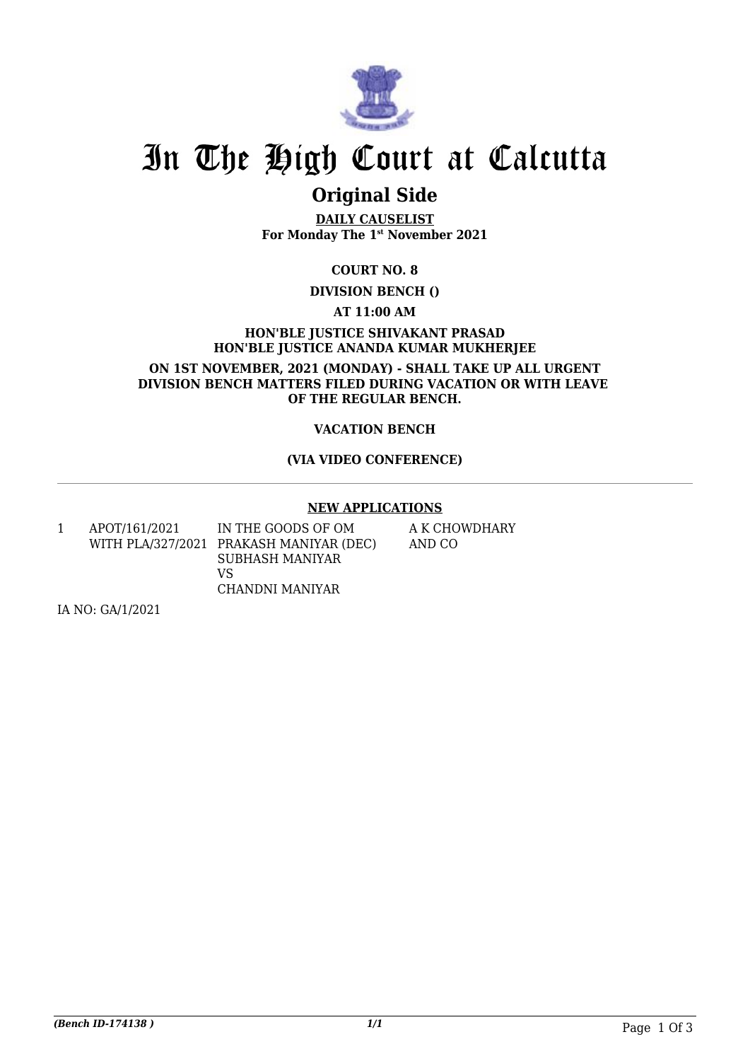

### **Original Side**

**DAILY CAUSELIST For Monday The 1st November 2021**

**COURT NO. 8**

**DIVISION BENCH ()**

**AT 11:00 AM**

**HON'BLE JUSTICE SHIVAKANT PRASAD HON'BLE JUSTICE ANANDA KUMAR MUKHERJEE**

**ON 1ST NOVEMBER, 2021 (MONDAY) - SHALL TAKE UP ALL URGENT DIVISION BENCH MATTERS FILED DURING VACATION OR WITH LEAVE OF THE REGULAR BENCH.**

#### **VACATION BENCH**

#### **(VIA VIDEO CONFERENCE)**

#### **NEW APPLICATIONS**

1 APOT/161/2021 WITH PLA/327/2021 PRAKASH MANIYAR (DEC) IN THE GOODS OF OM SUBHASH MANIYAR VS CHANDNI MANIYAR

A K CHOWDHARY AND CO

IA NO: GA/1/2021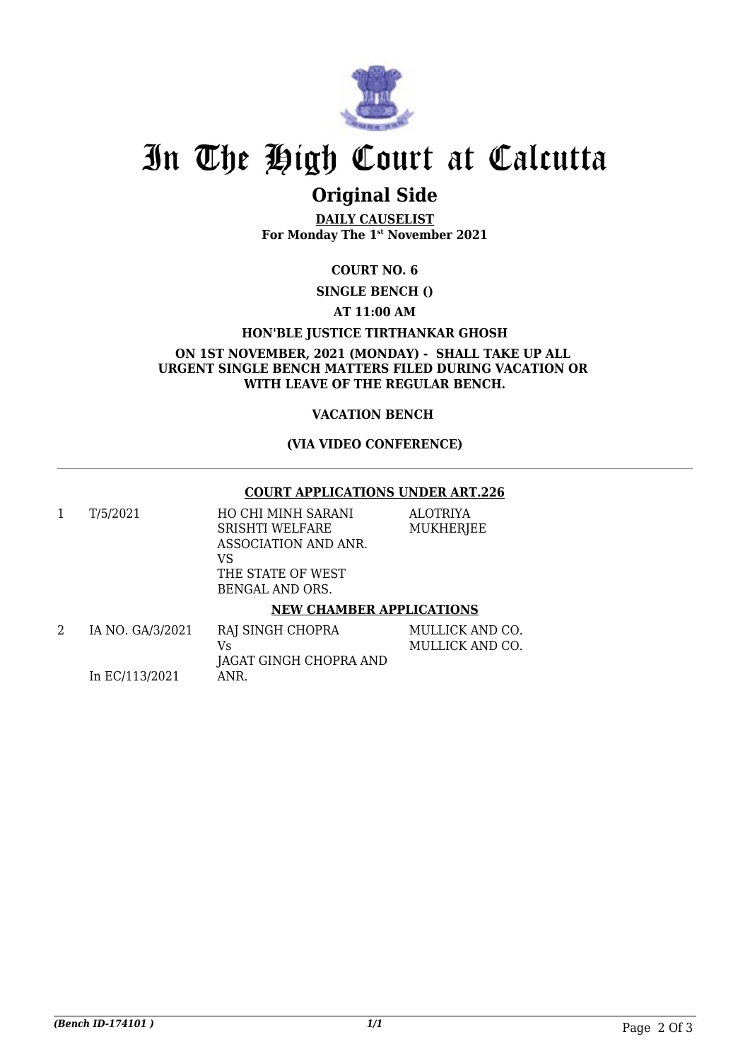

### **Original Side**

**DAILY CAUSELIST For Monday The 1st November 2021**

#### **COURT NO. 6**

**SINGLE BENCH ()**

#### **AT 11:00 AM**

#### **HON'BLE JUSTICE TIRTHANKAR GHOSH**

**ON 1ST NOVEMBER, 2021 (MONDAY) - SHALL TAKE UP ALL URGENT SINGLE BENCH MATTERS FILED DURING VACATION OR WITH LEAVE OF THE REGULAR BENCH.**

#### **VACATION BENCH**

#### **(VIA VIDEO CONFERENCE)**

#### **COURT APPLICATIONS UNDER ART.226**

ALOTRIYA MUKHERJEE

1 T/5/2021 HO CHI MINH SARANI SRISHTI WELFARE ASSOCIATION AND ANR. VS THE STATE OF WEST BENGAL AND ORS.

#### **NEW CHAMBER APPLICATIONS**

| IA NO. GA/3/2021 | RAJ SINGH CHOPRA       | MULLICK AND CO. |
|------------------|------------------------|-----------------|
|                  | Vs                     | MULLICK AND CO. |
|                  | JAGAT GINGH CHOPRA AND |                 |
| In EC/113/2021   | ANR.                   |                 |